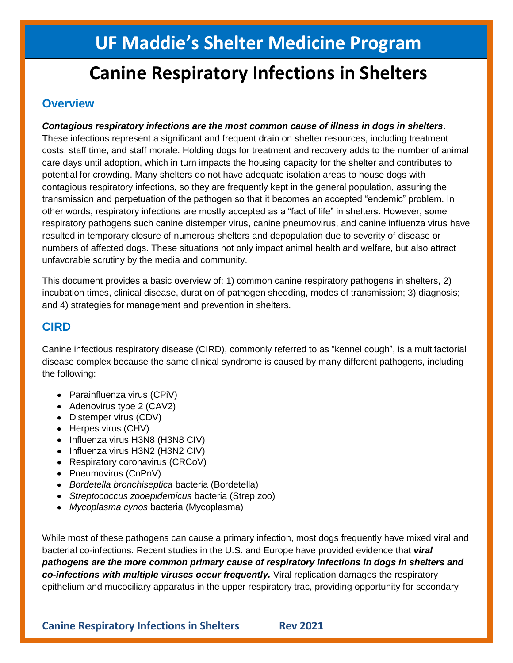# **UF Maddie's Shelter Medicine Program**

# **Canine Respiratory Infections in Shelters**

## **Overview**

*Contagious respiratory infections are the most common cause of illness in dogs in shelters*. These infections represent a significant and frequent drain on shelter resources, including treatment costs, staff time, and staff morale. Holding dogs for treatment and recovery adds to the number of animal care days until adoption, which in turn impacts the housing capacity for the shelter and contributes to potential for crowding. Many shelters do not have adequate isolation areas to house dogs with contagious respiratory infections, so they are frequently kept in the general population, assuring the transmission and perpetuation of the pathogen so that it becomes an accepted "endemic" problem. In other words, respiratory infections are mostly accepted as a "fact of life" in shelters. However, some respiratory pathogens such canine distemper virus, canine pneumovirus, and canine influenza virus have resulted in temporary closure of numerous shelters and depopulation due to severity of disease or numbers of affected dogs. These situations not only impact animal health and welfare, but also attract unfavorable scrutiny by the media and community.

This document provides a basic overview of: 1) common canine respiratory pathogens in shelters, 2) incubation times, clinical disease, duration of pathogen shedding, modes of transmission; 3) diagnosis; and 4) strategies for management and prevention in shelters.

## **CIRD**

Canine infectious respiratory disease (CIRD), commonly referred to as "kennel cough", is a multifactorial disease complex because the same clinical syndrome is caused by many different pathogens, including the following:

- Parainfluenza virus (CPiV)
- Adenovirus type 2 (CAV2)
- Distemper virus (CDV)
- Herpes virus (CHV)
- Influenza virus H3N8 (H3N8 CIV)
- Influenza virus H3N2 (H3N2 CIV)
- Respiratory coronavirus (CRCoV)
- Pneumovirus (CnPnV)
- *Bordetella bronchiseptica* bacteria (Bordetella)
- *Streptococcus zooepidemicus* bacteria (Strep zoo)
- *Mycoplasma cynos* bacteria (Mycoplasma)

While most of these pathogens can cause a primary infection, most dogs frequently have mixed viral and bacterial co-infections. Recent studies in the U.S. and Europe have provided evidence that *viral pathogens are the more common primary cause of respiratory infections in dogs in shelters and co-infections with multiple viruses occur frequently.* Viral replication damages the respiratory epithelium and mucociliary apparatus in the upper respiratory trac, providing opportunity for secondary

**Canine Respiratory Infections in Shelters Rev 2021**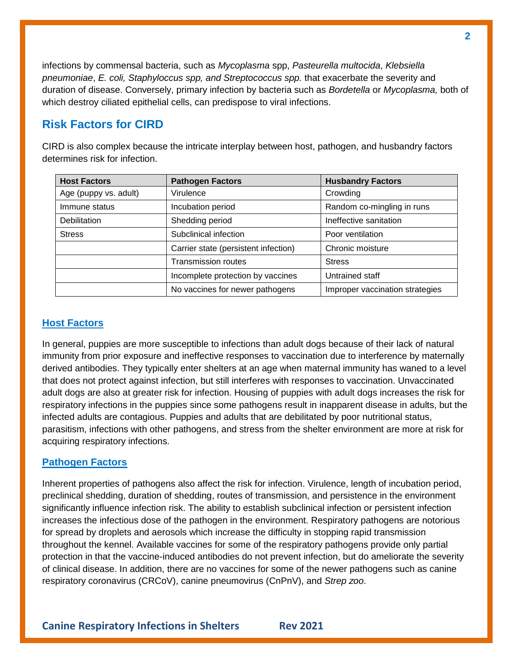infections by commensal bacteria, such as *Mycoplasma* spp, *Pasteurella multocida*, *Klebsiella pneumoniae*, *E. coli, Staphyloccus spp, and Streptococcus spp.* that exacerbate the severity and duration of disease. Conversely, primary infection by bacteria such as *Bordetella* or *Mycoplasma,* both of which destroy ciliated epithelial cells, can predispose to viral infections.

## **Risk Factors for CIRD**

CIRD is also complex because the intricate interplay between host, pathogen, and husbandry factors determines risk for infection.

| <b>Host Factors</b>   | <b>Pathogen Factors</b>              | <b>Husbandry Factors</b>        |  |
|-----------------------|--------------------------------------|---------------------------------|--|
| Age (puppy vs. adult) | Virulence                            | Crowding                        |  |
| Immune status         | Incubation period                    | Random co-mingling in runs      |  |
| <b>Debilitation</b>   | Shedding period                      | Ineffective sanitation          |  |
| <b>Stress</b>         | Subclinical infection                | Poor ventilation                |  |
|                       | Carrier state (persistent infection) | Chronic moisture                |  |
|                       | <b>Transmission routes</b>           | <b>Stress</b>                   |  |
|                       | Incomplete protection by vaccines    | Untrained staff                 |  |
|                       | No vaccines for newer pathogens      | Improper vaccination strategies |  |

#### **Host Factors**

In general, puppies are more susceptible to infections than adult dogs because of their lack of natural immunity from prior exposure and ineffective responses to vaccination due to interference by maternally derived antibodies. They typically enter shelters at an age when maternal immunity has waned to a level that does not protect against infection, but still interferes with responses to vaccination. Unvaccinated adult dogs are also at greater risk for infection. Housing of puppies with adult dogs increases the risk for respiratory infections in the puppies since some pathogens result in inapparent disease in adults, but the infected adults are contagious. Puppies and adults that are debilitated by poor nutritional status, parasitism, infections with other pathogens, and stress from the shelter environment are more at risk for acquiring respiratory infections.

#### **Pathogen Factors**

Inherent properties of pathogens also affect the risk for infection. Virulence, length of incubation period, preclinical shedding, duration of shedding, routes of transmission, and persistence in the environment significantly influence infection risk. The ability to establish subclinical infection or persistent infection increases the infectious dose of the pathogen in the environment. Respiratory pathogens are notorious for spread by droplets and aerosols which increase the difficulty in stopping rapid transmission throughout the kennel. Available vaccines for some of the respiratory pathogens provide only partial protection in that the vaccine-induced antibodies do not prevent infection, but do ameliorate the severity of clinical disease. In addition, there are no vaccines for some of the newer pathogens such as canine respiratory coronavirus (CRCoV), canine pneumovirus (CnPnV), and *Strep zoo*.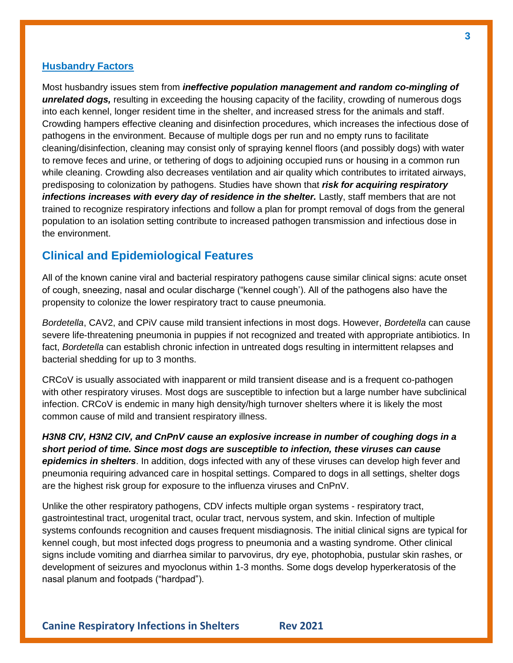#### **Husbandry Factors**

Most husbandry issues stem from *ineffective population management and random co-mingling of unrelated dogs,* resulting in exceeding the housing capacity of the facility, crowding of numerous dogs into each kennel, longer resident time in the shelter, and increased stress for the animals and staff. Crowding hampers effective cleaning and disinfection procedures, which increases the infectious dose of pathogens in the environment. Because of multiple dogs per run and no empty runs to facilitate cleaning/disinfection, cleaning may consist only of spraying kennel floors (and possibly dogs) with water to remove feces and urine, or tethering of dogs to adjoining occupied runs or housing in a common run while cleaning. Crowding also decreases ventilation and air quality which contributes to irritated airways, predisposing to colonization by pathogens. Studies have shown that *risk for acquiring respiratory infections increases with every day of residence in the shelter.* Lastly, staff members that are not trained to recognize respiratory infections and follow a plan for prompt removal of dogs from the general population to an isolation setting contribute to increased pathogen transmission and infectious dose in the environment.

## **Clinical and Epidemiological Features**

All of the known canine viral and bacterial respiratory pathogens cause similar clinical signs: acute onset of cough, sneezing, nasal and ocular discharge ("kennel cough'). All of the pathogens also have the propensity to colonize the lower respiratory tract to cause pneumonia.

*Bordetella*, CAV2, and CPiV cause mild transient infections in most dogs. However, *Bordetella* can cause severe life-threatening pneumonia in puppies if not recognized and treated with appropriate antibiotics. In fact, *Bordetella* can establish chronic infection in untreated dogs resulting in intermittent relapses and bacterial shedding for up to 3 months.

CRCoV is usually associated with inapparent or mild transient disease and is a frequent co-pathogen with other respiratory viruses. Most dogs are susceptible to infection but a large number have subclinical infection. CRCoV is endemic in many high density/high turnover shelters where it is likely the most common cause of mild and transient respiratory illness.

*H3N8 CIV, H3N2 CIV, and CnPnV cause an explosive increase in number of coughing dogs in a short period of time. Since most dogs are susceptible to infection, these viruses can cause epidemics in shelters*. In addition, dogs infected with any of these viruses can develop high fever and pneumonia requiring advanced care in hospital settings. Compared to dogs in all settings, shelter dogs are the highest risk group for exposure to the influenza viruses and CnPnV.

Unlike the other respiratory pathogens, CDV infects multiple organ systems - respiratory tract, gastrointestinal tract, urogenital tract, ocular tract, nervous system, and skin. Infection of multiple systems confounds recognition and causes frequent misdiagnosis. The initial clinical signs are typical for kennel cough, but most infected dogs progress to pneumonia and a wasting syndrome. Other clinical signs include vomiting and diarrhea similar to parvovirus, dry eye, photophobia, pustular skin rashes, or development of seizures and myoclonus within 1-3 months. Some dogs develop hyperkeratosis of the nasal planum and footpads ("hardpad").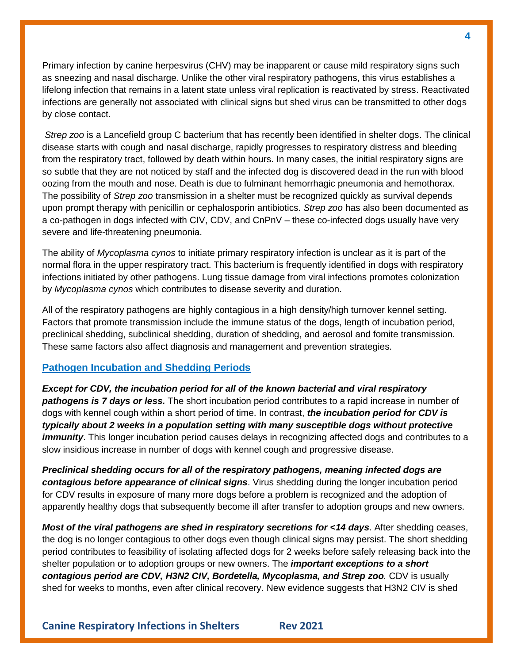Primary infection by canine herpesvirus (CHV) may be inapparent or cause mild respiratory signs such as sneezing and nasal discharge. Unlike the other viral respiratory pathogens, this virus establishes a lifelong infection that remains in a latent state unless viral replication is reactivated by stress. Reactivated infections are generally not associated with clinical signs but shed virus can be transmitted to other dogs by close contact.

*Strep zoo* is a Lancefield group C bacterium that has recently been identified in shelter dogs. The clinical disease starts with cough and nasal discharge, rapidly progresses to respiratory distress and bleeding from the respiratory tract, followed by death within hours. In many cases, the initial respiratory signs are so subtle that they are not noticed by staff and the infected dog is discovered dead in the run with blood oozing from the mouth and nose. Death is due to fulminant hemorrhagic pneumonia and hemothorax. The possibility of *Strep zoo* transmission in a shelter must be recognized quickly as survival depends upon prompt therapy with penicillin or cephalosporin antibiotics. *Strep zoo* has also been documented as a co-pathogen in dogs infected with CIV, CDV, and CnPnV – these co-infected dogs usually have very severe and life-threatening pneumonia.

The ability of *Mycoplasma cynos* to initiate primary respiratory infection is unclear as it is part of the normal flora in the upper respiratory tract. This bacterium is frequently identified in dogs with respiratory infections initiated by other pathogens. Lung tissue damage from viral infections promotes colonization by *Mycoplasma cynos* which contributes to disease severity and duration.

All of the respiratory pathogens are highly contagious in a high density/high turnover kennel setting. Factors that promote transmission include the immune status of the dogs, length of incubation period, preclinical shedding, subclinical shedding, duration of shedding, and aerosol and fomite transmission. These same factors also affect diagnosis and management and prevention strategies.

#### **Pathogen Incubation and Shedding Periods**

*Except for CDV, the incubation period for all of the known bacterial and viral respiratory pathogens is 7 days or less.* The short incubation period contributes to a rapid increase in number of dogs with kennel cough within a short period of time. In contrast, *the incubation period for CDV is typically about 2 weeks in a population setting with many susceptible dogs without protective immunity*. This longer incubation period causes delays in recognizing affected dogs and contributes to a slow insidious increase in number of dogs with kennel cough and progressive disease.

*Preclinical shedding occurs for all of the respiratory pathogens, meaning infected dogs are contagious before appearance of clinical signs*. Virus shedding during the longer incubation period for CDV results in exposure of many more dogs before a problem is recognized and the adoption of apparently healthy dogs that subsequently become ill after transfer to adoption groups and new owners.

*Most of the viral pathogens are shed in respiratory secretions for <14 days*. After shedding ceases, the dog is no longer contagious to other dogs even though clinical signs may persist. The short shedding period contributes to feasibility of isolating affected dogs for 2 weeks before safely releasing back into the shelter population or to adoption groups or new owners. The *important exceptions to a short contagious period are CDV, H3N2 CIV, Bordetella, Mycoplasma, and Strep zoo.* CDV is usually shed for weeks to months, even after clinical recovery. New evidence suggests that H3N2 CIV is shed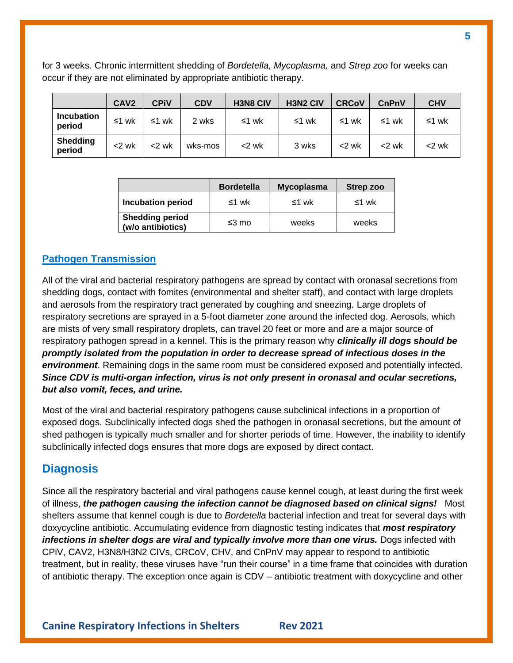for 3 weeks. Chronic intermittent shedding of *Bordetella, Mycoplasma,* and *Strep zoo* for weeks can occur if they are not eliminated by appropriate antibiotic therapy.

|                             | <b>CAV2</b> | CPiV     | <b>CDV</b> | <b>H3N8 CIV</b> | <b>H3N2 CIV</b> | <b>CRCoV</b> | CnPnV    | <b>CHV</b> |
|-----------------------------|-------------|----------|------------|-----------------|-----------------|--------------|----------|------------|
| <b>Incubation</b><br>period | ≤1 wk       | ≤1 wk    | 2 wks      | ≤1 wk           | ≤1 wk           | ≤1 wk        | ≤1 wk    | ≤1 wk      |
| <b>Shedding</b><br>period   | $<$ 2 wk    | $<$ 2 wk | wks-mos    | $<$ 2 wk        | 3 wks           | $<$ 2 wk     | $<$ 2 wk | $<$ 2 wk   |

|                                             | <b>Bordetella</b> | <b>Mycoplasma</b> | Strep zoo |
|---------------------------------------------|-------------------|-------------------|-----------|
| <b>Incubation period</b>                    | ≤1 wk             | ≤1 wk             | ≤1 wk     |
| <b>Shedding period</b><br>(w/o antibiotics) | $≤3$ mo           | weeks             | weeks     |

### **Pathogen Transmission**

All of the viral and bacterial respiratory pathogens are spread by contact with oronasal secretions from shedding dogs, contact with fomites (environmental and shelter staff), and contact with large droplets and aerosols from the respiratory tract generated by coughing and sneezing. Large droplets of respiratory secretions are sprayed in a 5-foot diameter zone around the infected dog. Aerosols, which are mists of very small respiratory droplets, can travel 20 feet or more and are a major source of respiratory pathogen spread in a kennel. This is the primary reason why *clinically ill dogs should be promptly isolated from the population in order to decrease spread of infectious doses in the environment*. Remaining dogs in the same room must be considered exposed and potentially infected. *Since CDV is multi-organ infection, virus is not only present in oronasal and ocular secretions, but also vomit, feces, and urine.*

Most of the viral and bacterial respiratory pathogens cause subclinical infections in a proportion of exposed dogs. Subclinically infected dogs shed the pathogen in oronasal secretions, but the amount of shed pathogen is typically much smaller and for shorter periods of time. However, the inability to identify subclinically infected dogs ensures that more dogs are exposed by direct contact.

### **Diagnosis**

Since all the respiratory bacterial and viral pathogens cause kennel cough, at least during the first week of illness, *the pathogen causing the infection cannot be diagnosed based on clinical signs!* Most shelters assume that kennel cough is due to *Bordetella* bacterial infection and treat for several days with doxycycline antibiotic. Accumulating evidence from diagnostic testing indicates that *most respiratory infections in shelter dogs are viral and typically involve more than one virus.* Dogs infected with CPiV, CAV2, H3N8/H3N2 CIVs, CRCoV, CHV, and CnPnV may appear to respond to antibiotic treatment, but in reality, these viruses have "run their course" in a time frame that coincides with duration of antibiotic therapy. The exception once again is CDV – antibiotic treatment with doxycycline and other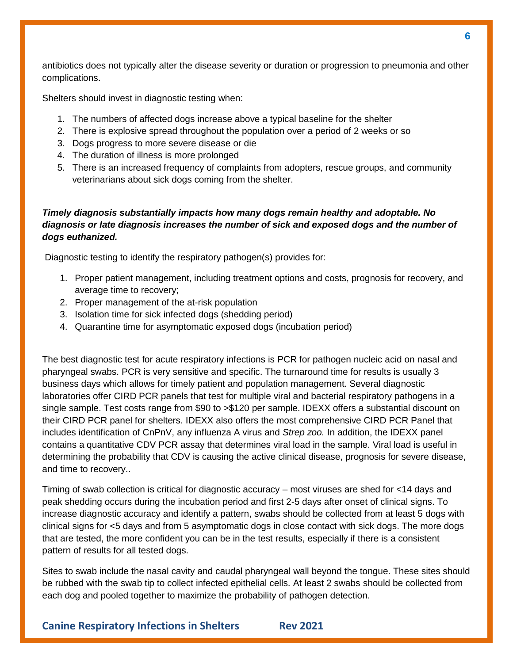antibiotics does not typically alter the disease severity or duration or progression to pneumonia and other complications.

Shelters should invest in diagnostic testing when:

- 1. The numbers of affected dogs increase above a typical baseline for the shelter
- 2. There is explosive spread throughout the population over a period of 2 weeks or so
- 3. Dogs progress to more severe disease or die
- 4. The duration of illness is more prolonged
- 5. There is an increased frequency of complaints from adopters, rescue groups, and community veterinarians about sick dogs coming from the shelter.

#### *Timely diagnosis substantially impacts how many dogs remain healthy and adoptable. No diagnosis or late diagnosis increases the number of sick and exposed dogs and the number of dogs euthanized.*

Diagnostic testing to identify the respiratory pathogen(s) provides for:

- 1. Proper patient management, including treatment options and costs, prognosis for recovery, and average time to recovery;
- 2. Proper management of the at-risk population
- 3. Isolation time for sick infected dogs (shedding period)
- 4. Quarantine time for asymptomatic exposed dogs (incubation period)

The best diagnostic test for acute respiratory infections is PCR for pathogen nucleic acid on nasal and pharyngeal swabs. PCR is very sensitive and specific. The turnaround time for results is usually 3 business days which allows for timely patient and population management. Several diagnostic laboratories offer CIRD PCR panels that test for multiple viral and bacterial respiratory pathogens in a single sample. Test costs range from \$90 to >\$120 per sample. IDEXX offers a substantial discount on their CIRD PCR panel for shelters. IDEXX also offers the most comprehensive CIRD PCR Panel that includes identification of CnPnV, any influenza A virus and *Strep zoo.* In addition, the IDEXX panel contains a quantitative CDV PCR assay that determines viral load in the sample. Viral load is useful in determining the probability that CDV is causing the active clinical disease, prognosis for severe disease, and time to recovery..

Timing of swab collection is critical for diagnostic accuracy – most viruses are shed for <14 days and peak shedding occurs during the incubation period and first 2-5 days after onset of clinical signs. To increase diagnostic accuracy and identify a pattern, swabs should be collected from at least 5 dogs with clinical signs for <5 days and from 5 asymptomatic dogs in close contact with sick dogs. The more dogs that are tested, the more confident you can be in the test results, especially if there is a consistent pattern of results for all tested dogs.

Sites to swab include the nasal cavity and caudal pharyngeal wall beyond the tongue. These sites should be rubbed with the swab tip to collect infected epithelial cells. At least 2 swabs should be collected from each dog and pooled together to maximize the probability of pathogen detection.

**Canine Respiratory Infections in Shelters Rev 2021**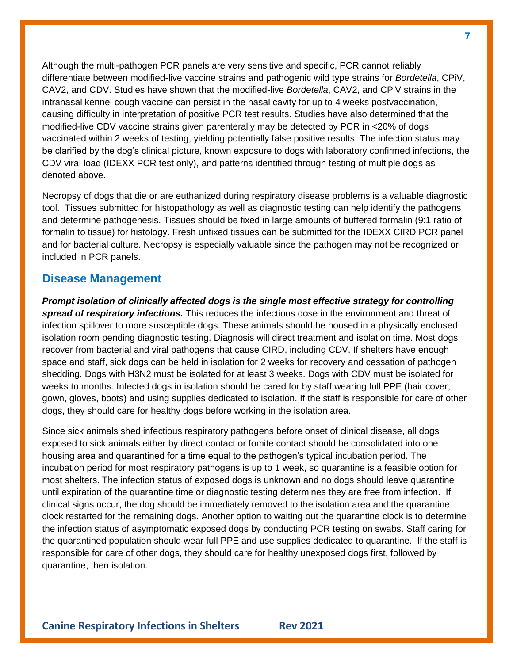Although the multi-pathogen PCR panels are very sensitive and specific, PCR cannot reliably differentiate between modified-live vaccine strains and pathogenic wild type strains for *Bordetella*, CPiV, CAV2, and CDV. Studies have shown that the modified-live *Bordetella*, CAV2, and CPiV strains in the intranasal kennel cough vaccine can persist in the nasal cavity for up to 4 weeks postvaccination, causing difficulty in interpretation of positive PCR test results. Studies have also determined that the modified-live CDV vaccine strains given parenterally may be detected by PCR in <20% of dogs vaccinated within 2 weeks of testing, yielding potentially false positive results. The infection status may be clarified by the dog's clinical picture, known exposure to dogs with laboratory confirmed infections, the CDV viral load (IDEXX PCR test only), and patterns identified through testing of multiple dogs as denoted above.

Necropsy of dogs that die or are euthanized during respiratory disease problems is a valuable diagnostic tool. Tissues submitted for histopathology as well as diagnostic testing can help identify the pathogens and determine pathogenesis. Tissues should be fixed in large amounts of buffered formalin (9:1 ratio of formalin to tissue) for histology. Fresh unfixed tissues can be submitted for the IDEXX CIRD PCR panel and for bacterial culture. Necropsy is especially valuable since the pathogen may not be recognized or included in PCR panels.

#### **Disease Management**

*Prompt isolation of clinically affected dogs is the single most effective strategy for controlling spread of respiratory infections.* This reduces the infectious dose in the environment and threat of infection spillover to more susceptible dogs. These animals should be housed in a physically enclosed isolation room pending diagnostic testing. Diagnosis will direct treatment and isolation time. Most dogs recover from bacterial and viral pathogens that cause CIRD, including CDV. If shelters have enough space and staff, sick dogs can be held in isolation for 2 weeks for recovery and cessation of pathogen shedding. Dogs with H3N2 must be isolated for at least 3 weeks. Dogs with CDV must be isolated for weeks to months. Infected dogs in isolation should be cared for by staff wearing full PPE (hair cover, gown, gloves, boots) and using supplies dedicated to isolation. If the staff is responsible for care of other dogs, they should care for healthy dogs before working in the isolation area.

Since sick animals shed infectious respiratory pathogens before onset of clinical disease, all dogs exposed to sick animals either by direct contact or fomite contact should be consolidated into one housing area and quarantined for a time equal to the pathogen's typical incubation period. The incubation period for most respiratory pathogens is up to 1 week, so quarantine is a feasible option for most shelters. The infection status of exposed dogs is unknown and no dogs should leave quarantine until expiration of the quarantine time or diagnostic testing determines they are free from infection. If clinical signs occur, the dog should be immediately removed to the isolation area and the quarantine clock restarted for the remaining dogs. Another option to waiting out the quarantine clock is to determine the infection status of asymptomatic exposed dogs by conducting PCR testing on swabs. Staff caring for the quarantined population should wear full PPE and use supplies dedicated to quarantine. If the staff is responsible for care of other dogs, they should care for healthy unexposed dogs first, followed by quarantine, then isolation.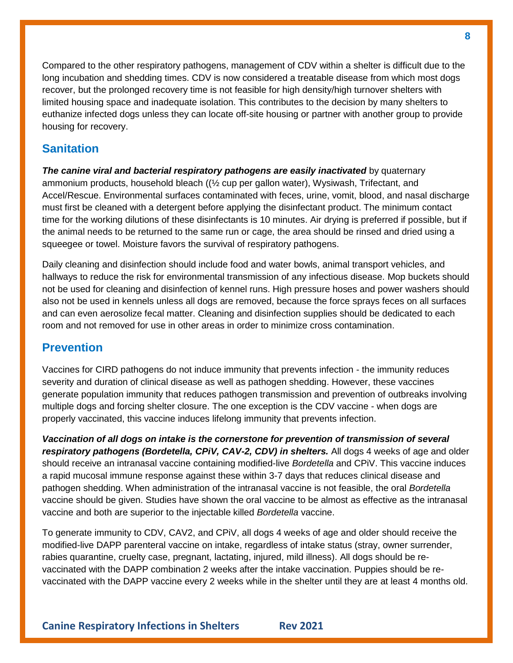Compared to the other respiratory pathogens, management of CDV within a shelter is difficult due to the long incubation and shedding times. CDV is now considered a treatable disease from which most dogs recover, but the prolonged recovery time is not feasible for high density/high turnover shelters with limited housing space and inadequate isolation. This contributes to the decision by many shelters to euthanize infected dogs unless they can locate off-site housing or partner with another group to provide housing for recovery.

# **Sanitation**

**The canine viral and bacterial respiratory pathogens are easily inactivated** by quaternary ammonium products, household bleach ((½ cup per gallon water), Wysiwash, Trifectant, and Accel/Rescue. Environmental surfaces contaminated with feces, urine, vomit, blood, and nasal discharge must first be cleaned with a detergent before applying the disinfectant product. The minimum contact time for the working dilutions of these disinfectants is 10 minutes. Air drying is preferred if possible, but if the animal needs to be returned to the same run or cage, the area should be rinsed and dried using a squeegee or towel. Moisture favors the survival of respiratory pathogens.

Daily cleaning and disinfection should include food and water bowls, animal transport vehicles, and hallways to reduce the risk for environmental transmission of any infectious disease. Mop buckets should not be used for cleaning and disinfection of kennel runs. High pressure hoses and power washers should also not be used in kennels unless all dogs are removed, because the force sprays feces on all surfaces and can even aerosolize fecal matter. Cleaning and disinfection supplies should be dedicated to each room and not removed for use in other areas in order to minimize cross contamination.

# **Prevention**

Vaccines for CIRD pathogens do not induce immunity that prevents infection - the immunity reduces severity and duration of clinical disease as well as pathogen shedding. However, these vaccines generate population immunity that reduces pathogen transmission and prevention of outbreaks involving multiple dogs and forcing shelter closure. The one exception is the CDV vaccine - when dogs are properly vaccinated, this vaccine induces lifelong immunity that prevents infection.

*Vaccination of all dogs on intake is the cornerstone for prevention of transmission of several respiratory pathogens (Bordetella, CPiV, CAV-2, CDV) in shelters.* All dogs 4 weeks of age and older should receive an intranasal vaccine containing modified-live *Bordetella* and CPiV. This vaccine induces a rapid mucosal immune response against these within 3-7 days that reduces clinical disease and pathogen shedding. When administration of the intranasal vaccine is not feasible, the oral *Bordetella* vaccine should be given. Studies have shown the oral vaccine to be almost as effective as the intranasal vaccine and both are superior to the injectable killed *Bordetella* vaccine.

To generate immunity to CDV, CAV2, and CPiV, all dogs 4 weeks of age and older should receive the modified-live DAPP parenteral vaccine on intake, regardless of intake status (stray, owner surrender, rabies quarantine, cruelty case, pregnant, lactating, injured, mild illness). All dogs should be revaccinated with the DAPP combination 2 weeks after the intake vaccination. Puppies should be revaccinated with the DAPP vaccine every 2 weeks while in the shelter until they are at least 4 months old.